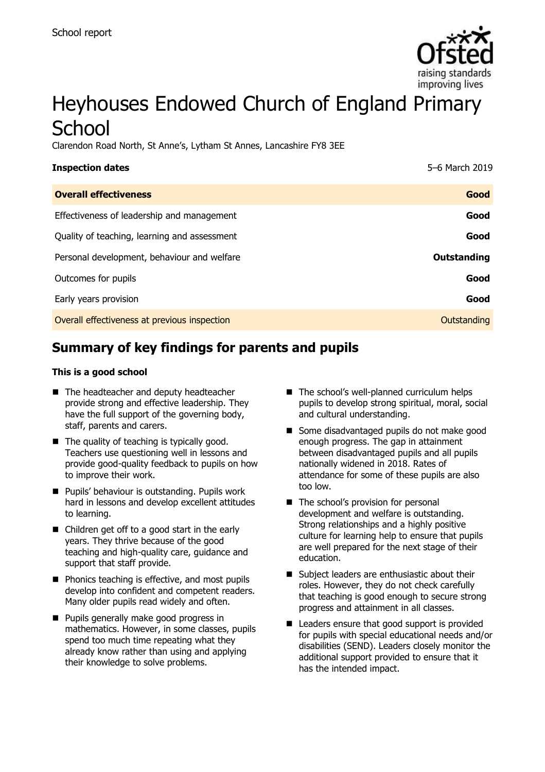

# Heyhouses Endowed Church of England Primary **School**

Clarendon Road North, St Anne's, Lytham St Annes, Lancashire FY8 3EE

| <b>Inspection dates</b>                      | 5-6 March 2019 |
|----------------------------------------------|----------------|
| <b>Overall effectiveness</b>                 | Good           |
| Effectiveness of leadership and management   | Good           |
| Quality of teaching, learning and assessment | Good           |
| Personal development, behaviour and welfare  | Outstanding    |
| Outcomes for pupils                          | Good           |
| Early years provision                        | Good           |
| Overall effectiveness at previous inspection | Outstanding    |

# **Summary of key findings for parents and pupils**

#### **This is a good school**

- The headteacher and deputy headteacher provide strong and effective leadership. They have the full support of the governing body, staff, parents and carers.
- $\blacksquare$  The quality of teaching is typically good. Teachers use questioning well in lessons and provide good-quality feedback to pupils on how to improve their work.
- **Pupils' behaviour is outstanding. Pupils work** hard in lessons and develop excellent attitudes to learning.
- Children get off to a good start in the early years. They thrive because of the good teaching and high-quality care, guidance and support that staff provide.
- Phonics teaching is effective, and most pupils develop into confident and competent readers. Many older pupils read widely and often.
- **Pupils generally make good progress in** mathematics. However, in some classes, pupils spend too much time repeating what they already know rather than using and applying their knowledge to solve problems.
- The school's well-planned curriculum helps pupils to develop strong spiritual, moral, social and cultural understanding.
- Some disadvantaged pupils do not make good enough progress. The gap in attainment between disadvantaged pupils and all pupils nationally widened in 2018. Rates of attendance for some of these pupils are also too low.
- The school's provision for personal development and welfare is outstanding. Strong relationships and a highly positive culture for learning help to ensure that pupils are well prepared for the next stage of their education.
- Subject leaders are enthusiastic about their roles. However, they do not check carefully that teaching is good enough to secure strong progress and attainment in all classes.
- Leaders ensure that good support is provided for pupils with special educational needs and/or disabilities (SEND). Leaders closely monitor the additional support provided to ensure that it has the intended impact.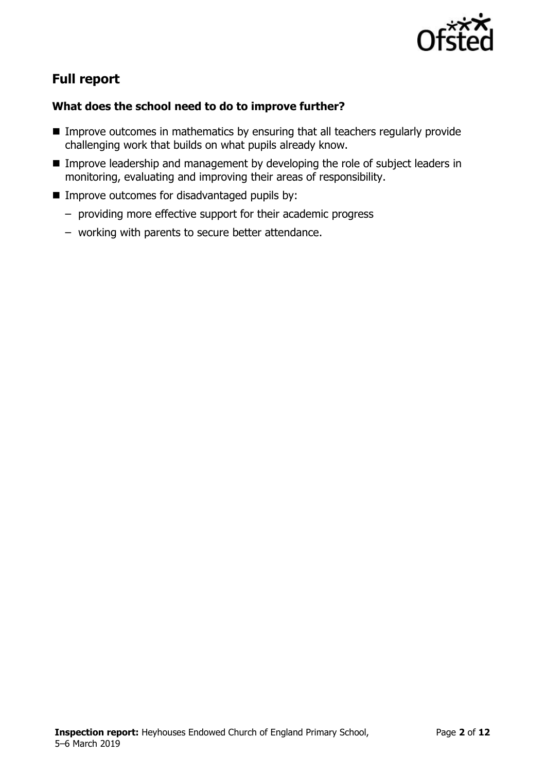

# **Full report**

### **What does the school need to do to improve further?**

- **IMPROVE OUTCOMES IN MATHEMATICS by ensuring that all teachers regularly provide** challenging work that builds on what pupils already know.
- **IMPROVE LEADERSHIP AND MANAGEMENT CONCOCOLLY THE IMPROVE LEADERS IN IMPROVE LEADERS** in monitoring, evaluating and improving their areas of responsibility.
- $\blacksquare$  Improve outcomes for disadvantaged pupils by:
	- providing more effective support for their academic progress
	- working with parents to secure better attendance.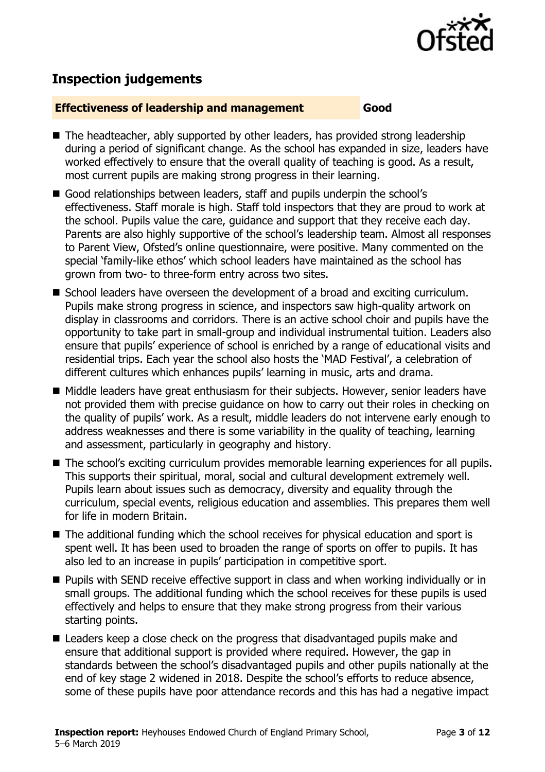

# **Inspection judgements**

#### **Effectiveness of leadership and management Good**

- The headteacher, ably supported by other leaders, has provided strong leadership during a period of significant change. As the school has expanded in size, leaders have worked effectively to ensure that the overall quality of teaching is good. As a result, most current pupils are making strong progress in their learning.
- Good relationships between leaders, staff and pupils underpin the school's effectiveness. Staff morale is high. Staff told inspectors that they are proud to work at the school. Pupils value the care, guidance and support that they receive each day. Parents are also highly supportive of the school's leadership team. Almost all responses to Parent View, Ofsted's online questionnaire, were positive. Many commented on the special 'family-like ethos' which school leaders have maintained as the school has grown from two- to three-form entry across two sites.
- School leaders have overseen the development of a broad and exciting curriculum. Pupils make strong progress in science, and inspectors saw high-quality artwork on display in classrooms and corridors. There is an active school choir and pupils have the opportunity to take part in small-group and individual instrumental tuition. Leaders also ensure that pupils' experience of school is enriched by a range of educational visits and residential trips. Each year the school also hosts the 'MAD Festival', a celebration of different cultures which enhances pupils' learning in music, arts and drama.
- Middle leaders have great enthusiasm for their subjects. However, senior leaders have not provided them with precise guidance on how to carry out their roles in checking on the quality of pupils' work. As a result, middle leaders do not intervene early enough to address weaknesses and there is some variability in the quality of teaching, learning and assessment, particularly in geography and history.
- The school's exciting curriculum provides memorable learning experiences for all pupils. This supports their spiritual, moral, social and cultural development extremely well. Pupils learn about issues such as democracy, diversity and equality through the curriculum, special events, religious education and assemblies. This prepares them well for life in modern Britain.
- The additional funding which the school receives for physical education and sport is spent well. It has been used to broaden the range of sports on offer to pupils. It has also led to an increase in pupils' participation in competitive sport.
- **Pupils with SEND receive effective support in class and when working individually or in** small groups. The additional funding which the school receives for these pupils is used effectively and helps to ensure that they make strong progress from their various starting points.
- Leaders keep a close check on the progress that disadvantaged pupils make and ensure that additional support is provided where required. However, the gap in standards between the school's disadvantaged pupils and other pupils nationally at the end of key stage 2 widened in 2018. Despite the school's efforts to reduce absence, some of these pupils have poor attendance records and this has had a negative impact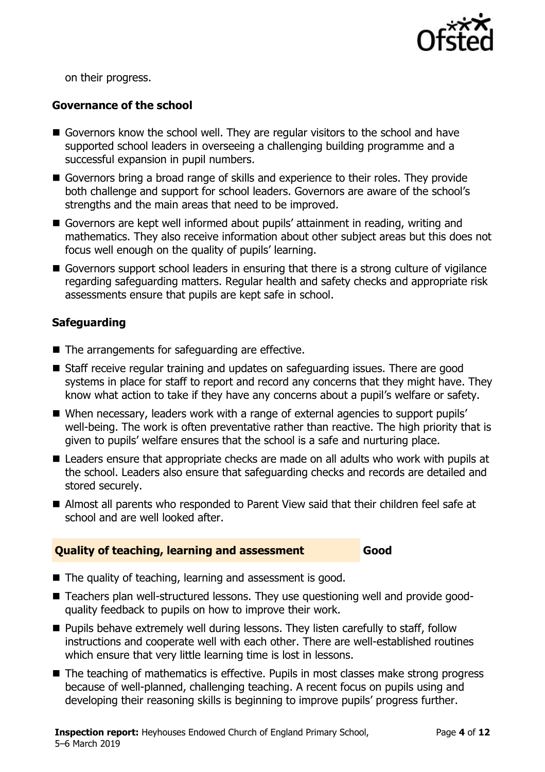

on their progress.

#### **Governance of the school**

- Governors know the school well. They are regular visitors to the school and have supported school leaders in overseeing a challenging building programme and a successful expansion in pupil numbers.
- Governors bring a broad range of skills and experience to their roles. They provide both challenge and support for school leaders. Governors are aware of the school's strengths and the main areas that need to be improved.
- Governors are kept well informed about pupils' attainment in reading, writing and mathematics. They also receive information about other subject areas but this does not focus well enough on the quality of pupils' learning.
- Governors support school leaders in ensuring that there is a strong culture of vigilance regarding safeguarding matters. Regular health and safety checks and appropriate risk assessments ensure that pupils are kept safe in school.

#### **Safeguarding**

- The arrangements for safeguarding are effective.
- Staff receive regular training and updates on safeguarding issues. There are good systems in place for staff to report and record any concerns that they might have. They know what action to take if they have any concerns about a pupil's welfare or safety.
- When necessary, leaders work with a range of external agencies to support pupils' well-being. The work is often preventative rather than reactive. The high priority that is given to pupils' welfare ensures that the school is a safe and nurturing place.
- Leaders ensure that appropriate checks are made on all adults who work with pupils at the school. Leaders also ensure that safeguarding checks and records are detailed and stored securely.
- Almost all parents who responded to Parent View said that their children feel safe at school and are well looked after.

#### **Quality of teaching, learning and assessment Good**

- The quality of teaching, learning and assessment is good.
- Teachers plan well-structured lessons. They use questioning well and provide goodquality feedback to pupils on how to improve their work.
- $\blacksquare$  Pupils behave extremely well during lessons. They listen carefully to staff, follow instructions and cooperate well with each other. There are well-established routines which ensure that very little learning time is lost in lessons.
- The teaching of mathematics is effective. Pupils in most classes make strong progress because of well-planned, challenging teaching. A recent focus on pupils using and developing their reasoning skills is beginning to improve pupils' progress further.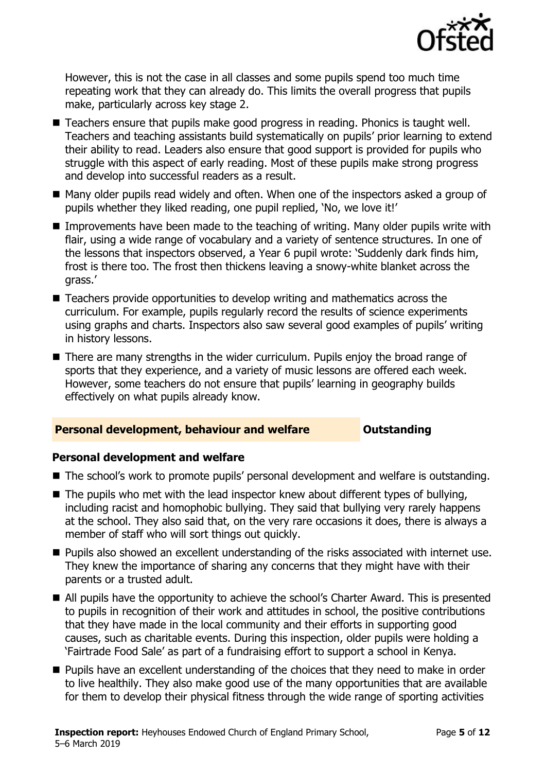

However, this is not the case in all classes and some pupils spend too much time repeating work that they can already do. This limits the overall progress that pupils make, particularly across key stage 2.

- Teachers ensure that pupils make good progress in reading. Phonics is taught well. Teachers and teaching assistants build systematically on pupils' prior learning to extend their ability to read. Leaders also ensure that good support is provided for pupils who struggle with this aspect of early reading. Most of these pupils make strong progress and develop into successful readers as a result.
- Many older pupils read widely and often. When one of the inspectors asked a group of pupils whether they liked reading, one pupil replied, 'No, we love it!'
- Improvements have been made to the teaching of writing. Many older pupils write with flair, using a wide range of vocabulary and a variety of sentence structures. In one of the lessons that inspectors observed, a Year 6 pupil wrote: 'Suddenly dark finds him, frost is there too. The frost then thickens leaving a snowy-white blanket across the grass.'
- Teachers provide opportunities to develop writing and mathematics across the curriculum. For example, pupils regularly record the results of science experiments using graphs and charts. Inspectors also saw several good examples of pupils' writing in history lessons.
- There are many strengths in the wider curriculum. Pupils enjoy the broad range of sports that they experience, and a variety of music lessons are offered each week. However, some teachers do not ensure that pupils' learning in geography builds effectively on what pupils already know.

#### **Personal development, behaviour and welfare <b>COU COULDER** Outstanding

#### **Personal development and welfare**

- The school's work to promote pupils' personal development and welfare is outstanding.
- $\blacksquare$  The pupils who met with the lead inspector knew about different types of bullying, including racist and homophobic bullying. They said that bullying very rarely happens at the school. They also said that, on the very rare occasions it does, there is always a member of staff who will sort things out quickly.
- **Pupils also showed an excellent understanding of the risks associated with internet use.** They knew the importance of sharing any concerns that they might have with their parents or a trusted adult.
- All pupils have the opportunity to achieve the school's Charter Award. This is presented to pupils in recognition of their work and attitudes in school, the positive contributions that they have made in the local community and their efforts in supporting good causes, such as charitable events. During this inspection, older pupils were holding a 'Fairtrade Food Sale' as part of a fundraising effort to support a school in Kenya.
- **Pupils have an excellent understanding of the choices that they need to make in order** to live healthily. They also make good use of the many opportunities that are available for them to develop their physical fitness through the wide range of sporting activities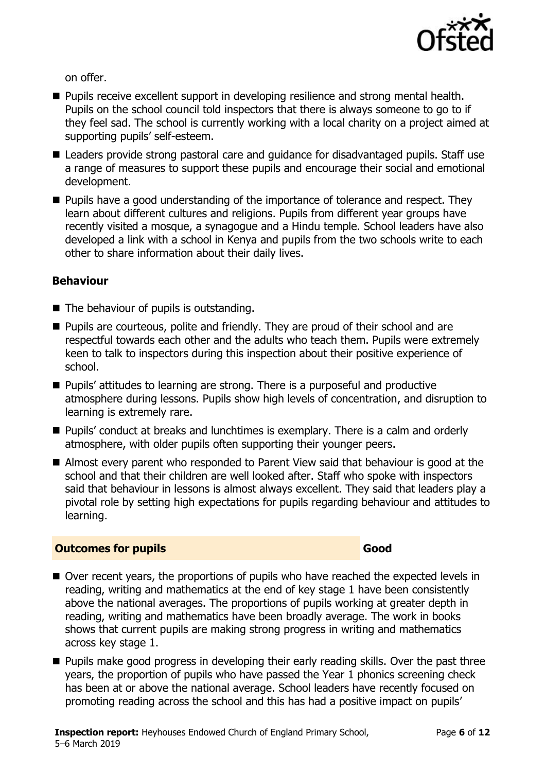

on offer.

- **Pupils receive excellent support in developing resilience and strong mental health.** Pupils on the school council told inspectors that there is always someone to go to if they feel sad. The school is currently working with a local charity on a project aimed at supporting pupils' self-esteem.
- Leaders provide strong pastoral care and guidance for disadvantaged pupils. Staff use a range of measures to support these pupils and encourage their social and emotional development.
- **Pupils have a good understanding of the importance of tolerance and respect. They** learn about different cultures and religions. Pupils from different year groups have recently visited a mosque, a synagogue and a Hindu temple. School leaders have also developed a link with a school in Kenya and pupils from the two schools write to each other to share information about their daily lives.

#### **Behaviour**

- $\blacksquare$  The behaviour of pupils is outstanding.
- **Pupils are courteous, polite and friendly. They are proud of their school and are** respectful towards each other and the adults who teach them. Pupils were extremely keen to talk to inspectors during this inspection about their positive experience of school.
- Pupils' attitudes to learning are strong. There is a purposeful and productive atmosphere during lessons. Pupils show high levels of concentration, and disruption to learning is extremely rare.
- Pupils' conduct at breaks and lunchtimes is exemplary. There is a calm and orderly atmosphere, with older pupils often supporting their younger peers.
- Almost every parent who responded to Parent View said that behaviour is good at the school and that their children are well looked after. Staff who spoke with inspectors said that behaviour in lessons is almost always excellent. They said that leaders play a pivotal role by setting high expectations for pupils regarding behaviour and attitudes to learning.

#### **Outcomes for pupils Good**

- Over recent years, the proportions of pupils who have reached the expected levels in reading, writing and mathematics at the end of key stage 1 have been consistently above the national averages. The proportions of pupils working at greater depth in reading, writing and mathematics have been broadly average. The work in books shows that current pupils are making strong progress in writing and mathematics across key stage 1.
- **Pupils make good progress in developing their early reading skills. Over the past three** years, the proportion of pupils who have passed the Year 1 phonics screening check has been at or above the national average. School leaders have recently focused on promoting reading across the school and this has had a positive impact on pupils'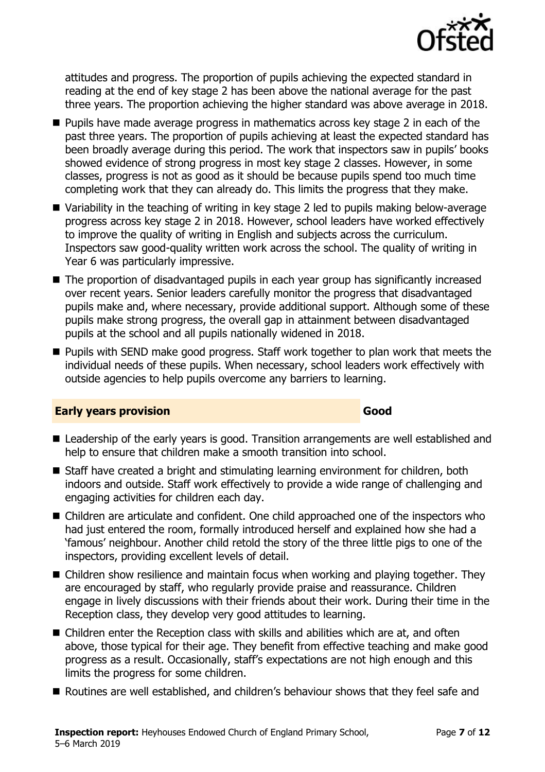

attitudes and progress. The proportion of pupils achieving the expected standard in reading at the end of key stage 2 has been above the national average for the past three years. The proportion achieving the higher standard was above average in 2018.

- **Pupils have made average progress in mathematics across key stage 2 in each of the** past three years. The proportion of pupils achieving at least the expected standard has been broadly average during this period. The work that inspectors saw in pupils' books showed evidence of strong progress in most key stage 2 classes. However, in some classes, progress is not as good as it should be because pupils spend too much time completing work that they can already do. This limits the progress that they make.
- Variability in the teaching of writing in key stage 2 led to pupils making below-average progress across key stage 2 in 2018. However, school leaders have worked effectively to improve the quality of writing in English and subjects across the curriculum. Inspectors saw good-quality written work across the school. The quality of writing in Year 6 was particularly impressive.
- The proportion of disadvantaged pupils in each year group has significantly increased over recent years. Senior leaders carefully monitor the progress that disadvantaged pupils make and, where necessary, provide additional support. Although some of these pupils make strong progress, the overall gap in attainment between disadvantaged pupils at the school and all pupils nationally widened in 2018.
- **Pupils with SEND make good progress. Staff work together to plan work that meets the** individual needs of these pupils. When necessary, school leaders work effectively with outside agencies to help pupils overcome any barriers to learning.

#### **Early years provision Good**

- Leadership of the early years is good. Transition arrangements are well established and help to ensure that children make a smooth transition into school.
- Staff have created a bright and stimulating learning environment for children, both indoors and outside. Staff work effectively to provide a wide range of challenging and engaging activities for children each day.
- Children are articulate and confident. One child approached one of the inspectors who had just entered the room, formally introduced herself and explained how she had a 'famous' neighbour. Another child retold the story of the three little pigs to one of the inspectors, providing excellent levels of detail.
- Children show resilience and maintain focus when working and playing together. They are encouraged by staff, who regularly provide praise and reassurance. Children engage in lively discussions with their friends about their work. During their time in the Reception class, they develop very good attitudes to learning.
- Children enter the Reception class with skills and abilities which are at, and often above, those typical for their age. They benefit from effective teaching and make good progress as a result. Occasionally, staff's expectations are not high enough and this limits the progress for some children.
- Routines are well established, and children's behaviour shows that they feel safe and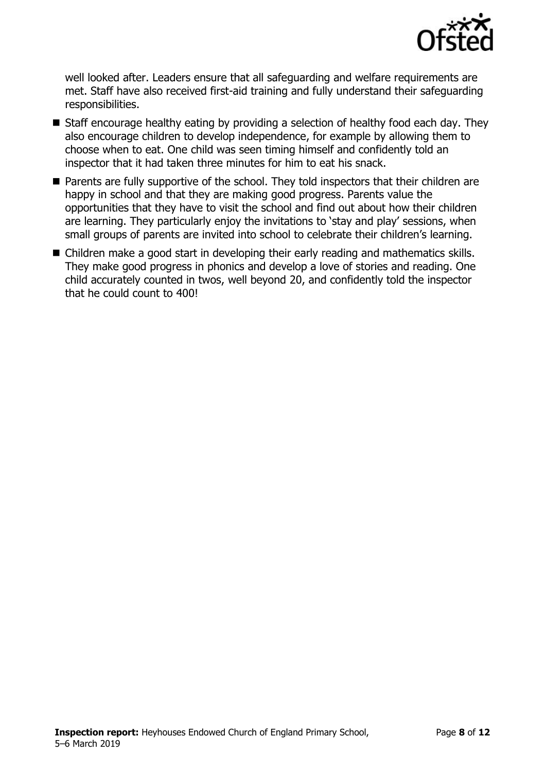

well looked after. Leaders ensure that all safeguarding and welfare requirements are met. Staff have also received first-aid training and fully understand their safeguarding responsibilities.

- Staff encourage healthy eating by providing a selection of healthy food each day. They also encourage children to develop independence, for example by allowing them to choose when to eat. One child was seen timing himself and confidently told an inspector that it had taken three minutes for him to eat his snack.
- Parents are fully supportive of the school. They told inspectors that their children are happy in school and that they are making good progress. Parents value the opportunities that they have to visit the school and find out about how their children are learning. They particularly enjoy the invitations to 'stay and play' sessions, when small groups of parents are invited into school to celebrate their children's learning.
- Children make a good start in developing their early reading and mathematics skills. They make good progress in phonics and develop a love of stories and reading. One child accurately counted in twos, well beyond 20, and confidently told the inspector that he could count to 400!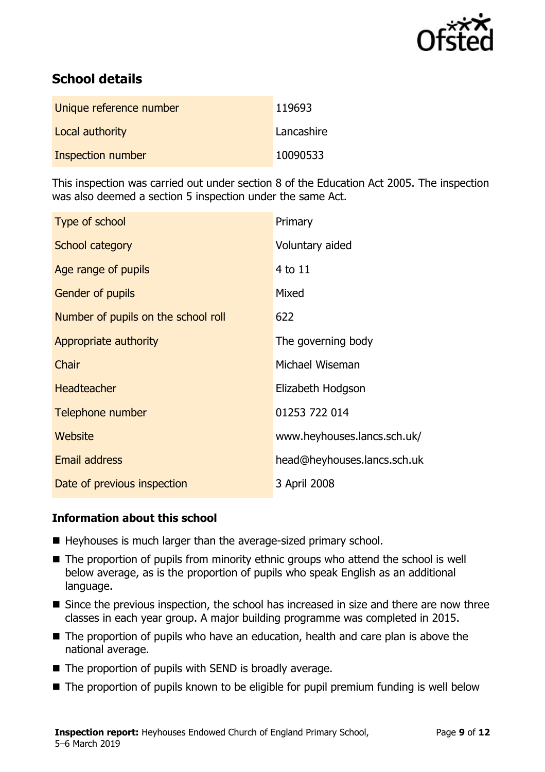

# **School details**

| Unique reference number | 119693     |
|-------------------------|------------|
| Local authority         | Lancashire |
| Inspection number       | 10090533   |

This inspection was carried out under section 8 of the Education Act 2005. The inspection was also deemed a section 5 inspection under the same Act.

| Type of school                      | Primary                     |
|-------------------------------------|-----------------------------|
| School category                     | Voluntary aided             |
| Age range of pupils                 | 4 to 11                     |
| <b>Gender of pupils</b>             | Mixed                       |
| Number of pupils on the school roll | 622                         |
| Appropriate authority               | The governing body          |
| Chair                               | Michael Wiseman             |
| <b>Headteacher</b>                  | Elizabeth Hodgson           |
| Telephone number                    | 01253 722 014               |
| Website                             | www.heyhouses.lancs.sch.uk/ |
| <b>Email address</b>                | head@heyhouses.lancs.sch.uk |
| Date of previous inspection         | 3 April 2008                |

#### **Information about this school**

- Heyhouses is much larger than the average-sized primary school.
- The proportion of pupils from minority ethnic groups who attend the school is well below average, as is the proportion of pupils who speak English as an additional language.
- Since the previous inspection, the school has increased in size and there are now three classes in each year group. A major building programme was completed in 2015.
- The proportion of pupils who have an education, health and care plan is above the national average.
- $\blacksquare$  The proportion of pupils with SEND is broadly average.
- The proportion of pupils known to be eligible for pupil premium funding is well below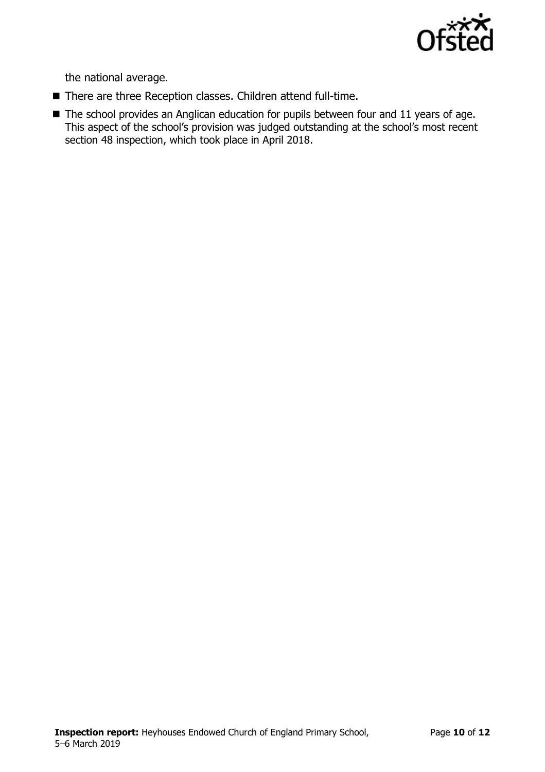

the national average.

- There are three Reception classes. Children attend full-time.
- The school provides an Anglican education for pupils between four and 11 years of age. This aspect of the school's provision was judged outstanding at the school's most recent section 48 inspection, which took place in April 2018.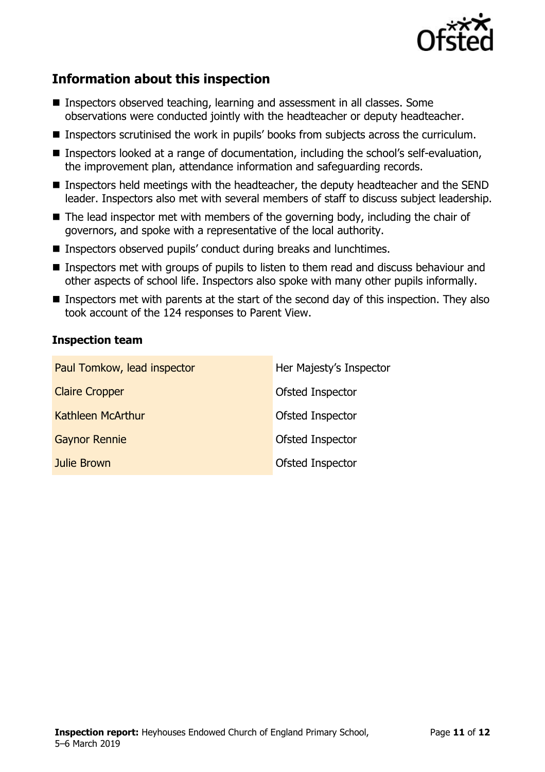

# **Information about this inspection**

- Inspectors observed teaching, learning and assessment in all classes. Some observations were conducted jointly with the headteacher or deputy headteacher.
- Inspectors scrutinised the work in pupils' books from subjects across the curriculum.
- **Inspectors looked at a range of documentation, including the school's self-evaluation,** the improvement plan, attendance information and safeguarding records.
- Inspectors held meetings with the headteacher, the deputy headteacher and the SEND leader. Inspectors also met with several members of staff to discuss subject leadership.
- $\blacksquare$  The lead inspector met with members of the governing body, including the chair of governors, and spoke with a representative of the local authority.
- **Inspectors observed pupils' conduct during breaks and lunchtimes.**
- **Inspectors met with groups of pupils to listen to them read and discuss behaviour and** other aspects of school life. Inspectors also spoke with many other pupils informally.
- Inspectors met with parents at the start of the second day of this inspection. They also took account of the 124 responses to Parent View.

#### **Inspection team**

| Paul Tomkow, lead inspector | Her Majesty's Inspector |
|-----------------------------|-------------------------|
| <b>Claire Cropper</b>       | Ofsted Inspector        |
| Kathleen McArthur           | Ofsted Inspector        |
| <b>Gaynor Rennie</b>        | Ofsted Inspector        |
| <b>Julie Brown</b>          | Ofsted Inspector        |